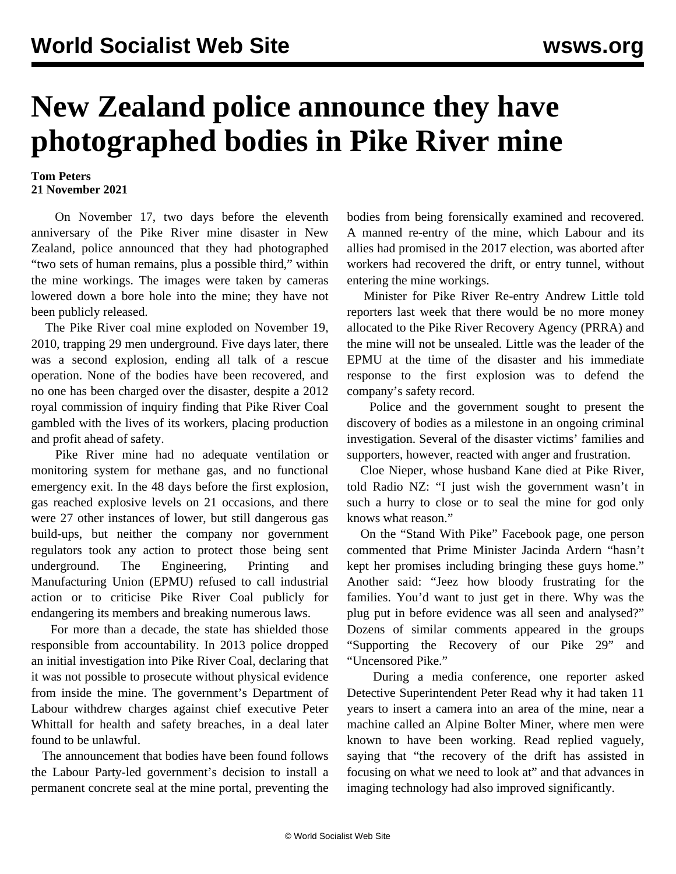## **New Zealand police announce they have photographed bodies in Pike River mine**

## **Tom Peters 21 November 2021**

 On November 17, two days before the eleventh anniversary of the Pike River mine disaster in New Zealand, police announced that they had photographed "two sets of human remains, plus a possible third," within the mine workings. The images were taken by cameras lowered down a bore hole into the mine; they have not been publicly released.

 The Pike River coal mine exploded on November 19, 2010, trapping 29 men underground. Five days later, there was a second explosion, ending all talk of a rescue operation. None of the bodies have been recovered, and no one has been charged over the disaster, despite a 2012 royal commission of inquiry finding that Pike River Coal gambled with the lives of its workers, placing production and profit ahead of safety.

 Pike River mine had no adequate ventilation or monitoring system for methane gas, and no functional emergency exit. In the 48 days before the first explosion, gas reached explosive levels on 21 occasions, and there were 27 other instances of lower, but still dangerous gas build-ups, but neither the company nor government regulators took any action to protect those being sent underground. The Engineering, Printing and Manufacturing Union (EPMU) refused to call industrial action or to criticise Pike River Coal publicly for endangering its members and breaking numerous laws.

 For more than a decade, the state has shielded those responsible from accountability. In 2013 police dropped an initial investigation into Pike River Coal, declaring that it was not possible to prosecute without physical evidence from inside the mine. The government's Department of Labour [withdrew](/en/articles/2014/03/03/pike-m03.html) charges against chief executive Peter Whittall for health and safety breaches, in a deal later found to be unlawful.

 The announcement that bodies have been found follows the Labour Party-led government's decision to install a permanent concrete seal at the mine portal, preventing the bodies from being forensically examined and recovered. A manned re-entry of the mine, which Labour and its allies had promised in the 2017 election, was aborted after workers had recovered the drift, or entry tunnel, without entering the mine workings.

 Minister for Pike River Re-entry Andrew Little told reporters last week that there would be no more money allocated to the Pike River Recovery Agency (PRRA) and the mine will not be unsealed. Little was the leader of the EPMU at the time of the disaster and his immediate response to the first explosion was to defend the company's safety record.

 Police and the government sought to present the discovery of bodies as a milestone in an ongoing criminal investigation. Several of the disaster victims' families and supporters, however, reacted with anger and frustration.

 Cloe Nieper, whose husband Kane died at Pike River, told Radio NZ: "I just wish the government wasn't in such a hurry to close or to seal the mine for god only knows what reason."

 On the "Stand With Pike" Facebook page, one person commented that Prime Minister Jacinda Ardern "hasn't kept her promises including bringing these guys home." Another said: "Jeez how bloody frustrating for the families. You'd want to just get in there. Why was the plug put in before evidence was all seen and analysed?" Dozens of similar comments appeared in the groups "Supporting the Recovery of our Pike 29" and "Uncensored Pike."

 During a media conference, one reporter asked Detective Superintendent Peter Read why it had taken 11 years to insert a camera into an area of the mine, near a machine called an Alpine Bolter Miner, where men were known to have been working. Read replied vaguely, saying that "the recovery of the drift has assisted in focusing on what we need to look at" and that advances in imaging technology had also improved significantly.